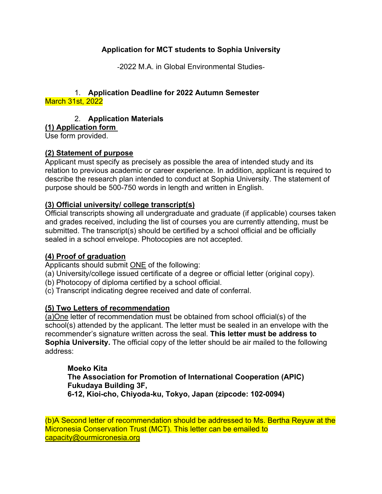# **Application for MCT students to Sophia University**

‐2022 M.A. in Global Environmental Studies‐

#### 1. **Application Deadline for 2022 Autumn Semester** March 31st, 2022

### 2. **Application Materials**

### **(1) Application form**

Use form provided.

### **(2) Statement of purpose**

Applicant must specify as precisely as possible the area of intended study and its relation to previous academic or career experience. In addition, applicant is required to describe the research plan intended to conduct at Sophia University. The statement of purpose should be 500-750 words in length and written in English.

### **(3) Official university/ college transcript(s)**

Official transcripts showing all undergraduate and graduate (if applicable) courses taken and grades received, including the list of courses you are currently attending, must be submitted. The transcript(s) should be certified by a school official and be officially sealed in a school envelope. Photocopies are not accepted.

#### **(4) Proof of graduation**

Applicants should submit ONE of the following:

(a) University/college issued certificate of a degree or official letter (original copy).

- (b) Photocopy of diploma certified by a school official.
- (c) Transcript indicating degree received and date of conferral.

### **(5) Two Letters of recommendation**

(a)One letter of recommendation must be obtained from school official(s) of the school(s) attended by the applicant. The letter must be sealed in an envelope with the recommender's signature written across the seal. **This letter must be address to Sophia University.** The official copy of the letter should be air mailed to the following address:

#### **Moeko Kita The Association for Promotion of International Cooperation (APIC) Fukudaya Building 3F, 6-12, Kioi-cho, Chiyoda-ku, Tokyo, Japan (zipcode: 102-0094)**

(b)A Second letter of recommendation should be addressed to Ms. Bertha Reyuw at the Micronesia Conservation Trust (MCT). This letter can be emailed to capacity@ourmicronesia.org